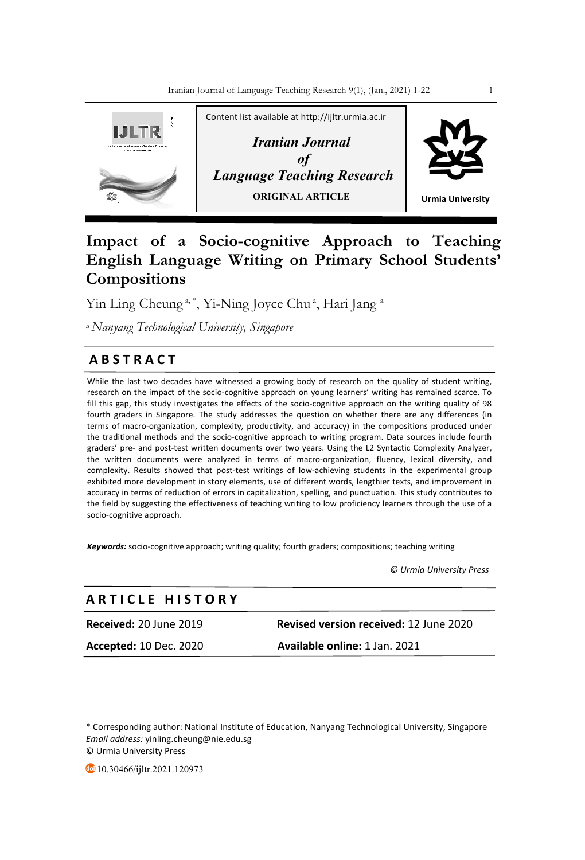

# **Impact of a Socio-cognitive Approach to Teaching English Language Writing on Primary School Students' Compositions**

Yin Ling Cheung<sup>a,\*</sup>, Yi-Ning Joyce Chu<sup>a</sup>, Hari Jang<sup>a</sup>

*a Nanyang Technological University, Singapore*

## **A B S T R A C T**

While the last two decades have witnessed a growing body of research on the quality of student writing, research on the impact of the socio-cognitive approach on young learners' writing has remained scarce. To fill this gap, this study investigates the effects of the socio-cognitive approach on the writing quality of 98 fourth graders in Singapore. The study addresses the question on whether there are any differences (in terms of macro-organization, complexity, productivity, and accuracy) in the compositions produced under the traditional methods and the socio-cognitive approach to writing program. Data sources include fourth graders' pre- and post-test written documents over two years. Using the L2 Syntactic Complexity Analyzer, the written documents were analyzed in terms of macro-organization, fluency, lexical diversity, and complexity. Results showed that post-test writings of low-achieving students in the experimental group exhibited more development in story elements, use of different words, lengthier texts, and improvement in accuracy in terms of reduction of errors in capitalization, spelling, and punctuation. This study contributes to the field by suggesting the effectiveness of teaching writing to low proficiency learners through the use of a socio-cognitive approach.

*Keywords:* socio-cognitive approach; writing quality; fourth graders; compositions; teaching writing

 *© Urmia University Press*

## **A R T I C L E H I S T O R Y**

**Received:** 20 June 2019 **Revised version received:** 12 June 2020 **Accepted:** 10 Dec. 2020 **Available online:** 1 Jan. 2021

\* Corresponding author: National Institute of Education, Nanyang Technological University, Singapore *Email address:* yinling.cheung@nie.edu.sg © Urmia University Press

10.30466/ijltr.2021.120973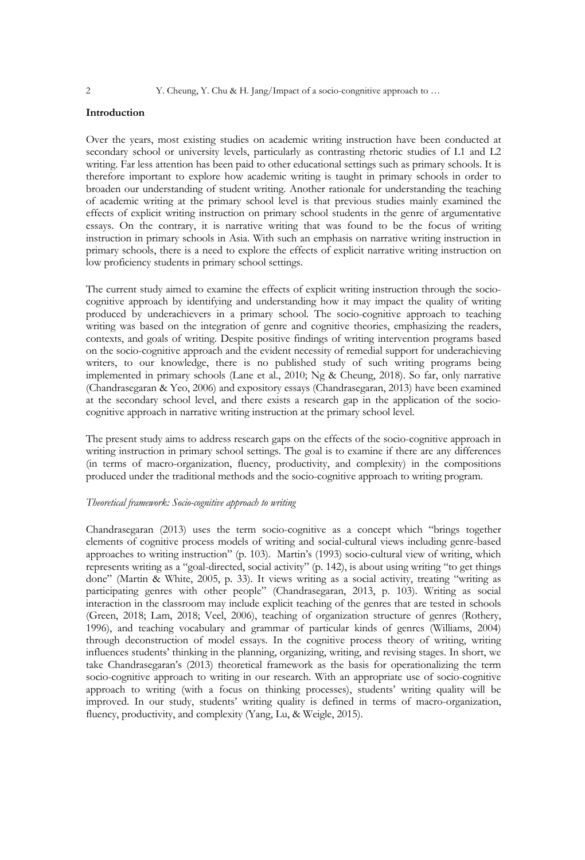## **Introduction**

Over the years, most existing studies on academic writing instruction have been conducted at secondary school or university levels, particularly as contrasting rhetoric studies of L1 and L2 writing. Far less attention has been paid to other educational settings such as primary schools. It is therefore important to explore how academic writing is taught in primary schools in order to broaden our understanding of student writing. Another rationale for understanding the teaching of academic writing at the primary school level is that previous studies mainly examined the effects of explicit writing instruction on primary school students in the genre of argumentative essays. On the contrary, it is narrative writing that was found to be the focus of writing instruction in primary schools in Asia. With such an emphasis on narrative writing instruction in primary schools, there is a need to explore the effects of explicit narrative writing instruction on low proficiency students in primary school settings.

The current study aimed to examine the effects of explicit writing instruction through the sociocognitive approach by identifying and understanding how it may impact the quality of writing produced by underachievers in a primary school. The socio-cognitive approach to teaching writing was based on the integration of genre and cognitive theories, emphasizing the readers, contexts, and goals of writing. Despite positive findings of writing intervention programs based on the socio-cognitive approach and the evident necessity of remedial support for underachieving writers, to our knowledge, there is no published study of such writing programs being implemented in primary schools (Lane et al., 2010; Ng & Cheung, 2018). So far, only narrative (Chandrasegaran & Yeo, 2006) and expository essays (Chandrasegaran, 2013) have been examined at the secondary school level, and there exists a research gap in the application of the sociocognitive approach in narrative writing instruction at the primary school level.

The present study aims to address research gaps on the effects of the socio-cognitive approach in writing instruction in primary school settings. The goal is to examine if there are any differences (in terms of macro-organization, fluency, productivity, and complexity) in the compositions produced under the traditional methods and the socio-cognitive approach to writing program.

## *Theoretical framework: Socio-cognitive approach to writing*

Chandrasegaran (2013) uses the term socio-cognitive as a concept which "brings together elements of cognitive process models of writing and social-cultural views including genre-based approaches to writing instruction" (p. 103). Martin's (1993) socio-cultural view of writing, which represents writing as a "goal-directed, social activity" (p. 142), is about using writing "to get things done" (Martin & White, 2005, p. 33). It views writing as a social activity, treating "writing as participating genres with other people" (Chandrasegaran, 2013, p. 103). Writing as social interaction in the classroom may include explicit teaching of the genres that are tested in schools (Green, 2018; Lam, 2018; Veel, 2006), teaching of organization structure of genres (Rothery, 1996), and teaching vocabulary and grammar of particular kinds of genres (Williams, 2004) through deconstruction of model essays. In the cognitive process theory of writing, writing influences students' thinking in the planning, organizing, writing, and revising stages. In short, we take Chandrasegaran's (2013) theoretical framework as the basis for operationalizing the term socio-cognitive approach to writing in our research. With an appropriate use of socio-cognitive approach to writing (with a focus on thinking processes), students' writing quality will be improved. In our study, students' writing quality is defined in terms of macro-organization, fluency, productivity, and complexity (Yang, Lu, & Weigle, 2015).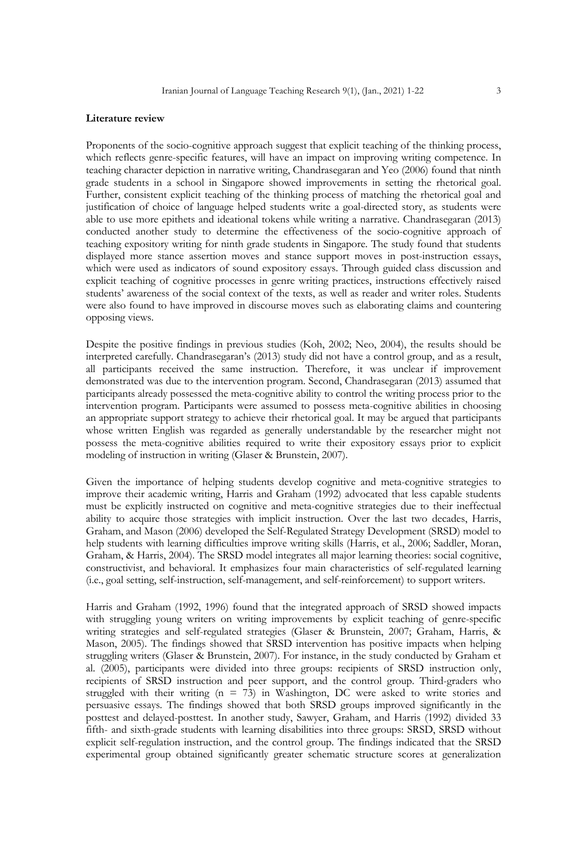### **Literature review**

Proponents of the socio-cognitive approach suggest that explicit teaching of the thinking process, which reflects genre-specific features, will have an impact on improving writing competence. In teaching character depiction in narrative writing, Chandrasegaran and Yeo (2006) found that ninth grade students in a school in Singapore showed improvements in setting the rhetorical goal. Further, consistent explicit teaching of the thinking process of matching the rhetorical goal and justification of choice of language helped students write a goal-directed story, as students were able to use more epithets and ideational tokens while writing a narrative. Chandrasegaran (2013) conducted another study to determine the effectiveness of the socio-cognitive approach of teaching expository writing for ninth grade students in Singapore. The study found that students displayed more stance assertion moves and stance support moves in post-instruction essays, which were used as indicators of sound expository essays. Through guided class discussion and explicit teaching of cognitive processes in genre writing practices, instructions effectively raised students' awareness of the social context of the texts, as well as reader and writer roles. Students were also found to have improved in discourse moves such as elaborating claims and countering opposing views.

Despite the positive findings in previous studies (Koh, 2002; Neo, 2004), the results should be interpreted carefully. Chandrasegaran's (2013) study did not have a control group, and as a result, all participants received the same instruction. Therefore, it was unclear if improvement demonstrated was due to the intervention program. Second, Chandrasegaran (2013) assumed that participants already possessed the meta-cognitive ability to control the writing process prior to the intervention program. Participants were assumed to possess meta-cognitive abilities in choosing an appropriate support strategy to achieve their rhetorical goal. It may be argued that participants whose written English was regarded as generally understandable by the researcher might not possess the meta-cognitive abilities required to write their expository essays prior to explicit modeling of instruction in writing (Glaser & Brunstein, 2007).

Given the importance of helping students develop cognitive and meta-cognitive strategies to improve their academic writing, Harris and Graham (1992) advocated that less capable students must be explicitly instructed on cognitive and meta-cognitive strategies due to their ineffectual ability to acquire those strategies with implicit instruction. Over the last two decades, Harris, Graham, and Mason (2006) developed the Self-Regulated Strategy Development (SRSD) model to help students with learning difficulties improve writing skills (Harris, et al., 2006; Saddler, Moran, Graham, & Harris, 2004). The SRSD model integrates all major learning theories: social cognitive, constructivist, and behavioral. It emphasizes four main characteristics of self-regulated learning (i.e., goal setting, self-instruction, self-management, and self-reinforcement) to support writers.

Harris and Graham (1992, 1996) found that the integrated approach of SRSD showed impacts with struggling young writers on writing improvements by explicit teaching of genre-specific writing strategies and self-regulated strategies (Glaser & Brunstein, 2007; Graham, Harris, & Mason, 2005). The findings showed that SRSD intervention has positive impacts when helping struggling writers (Glaser & Brunstein, 2007). For instance, in the study conducted by Graham et al. (2005), participants were divided into three groups: recipients of SRSD instruction only, recipients of SRSD instruction and peer support, and the control group. Third-graders who struggled with their writing  $(n = 73)$  in Washington, DC were asked to write stories and persuasive essays. The findings showed that both SRSD groups improved significantly in the posttest and delayed-posttest. In another study, Sawyer, Graham, and Harris (1992) divided 33 fifth- and sixth-grade students with learning disabilities into three groups: SRSD, SRSD without explicit self-regulation instruction, and the control group. The findings indicated that the SRSD experimental group obtained significantly greater schematic structure scores at generalization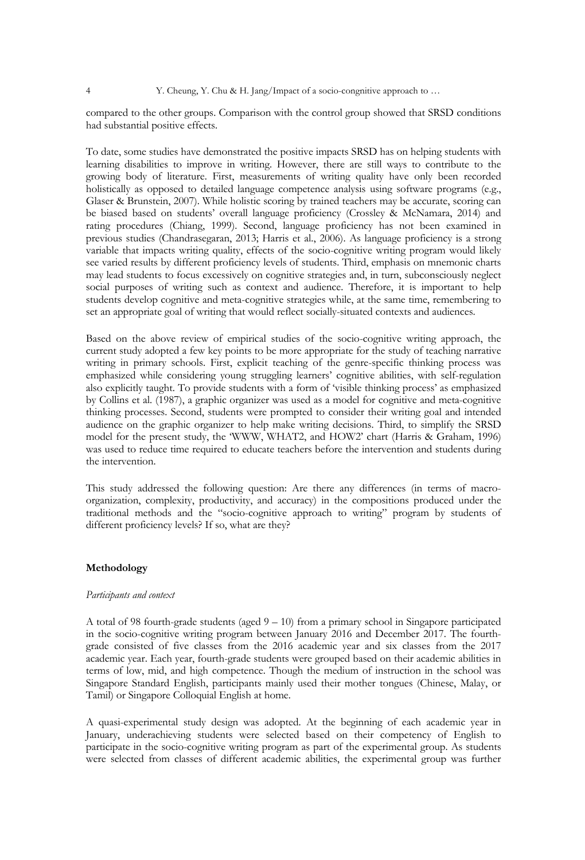compared to the other groups. Comparison with the control group showed that SRSD conditions had substantial positive effects.

To date, some studies have demonstrated the positive impacts SRSD has on helping students with learning disabilities to improve in writing. However, there are still ways to contribute to the growing body of literature. First, measurements of writing quality have only been recorded holistically as opposed to detailed language competence analysis using software programs (e.g., Glaser & Brunstein, 2007). While holistic scoring by trained teachers may be accurate, scoring can be biased based on students' overall language proficiency (Crossley & McNamara, 2014) and rating procedures (Chiang, 1999). Second, language proficiency has not been examined in previous studies (Chandrasegaran, 2013; Harris et al., 2006). As language proficiency is a strong variable that impacts writing quality, effects of the socio-cognitive writing program would likely see varied results by different proficiency levels of students. Third, emphasis on mnemonic charts may lead students to focus excessively on cognitive strategies and, in turn, subconsciously neglect social purposes of writing such as context and audience. Therefore, it is important to help students develop cognitive and meta-cognitive strategies while, at the same time, remembering to set an appropriate goal of writing that would reflect socially-situated contexts and audiences.

Based on the above review of empirical studies of the socio-cognitive writing approach, the current study adopted a few key points to be more appropriate for the study of teaching narrative writing in primary schools. First, explicit teaching of the genre-specific thinking process was emphasized while considering young struggling learners' cognitive abilities, with self-regulation also explicitly taught. To provide students with a form of 'visible thinking process' as emphasized by Collins et al. (1987), a graphic organizer was used as a model for cognitive and meta-cognitive thinking processes. Second, students were prompted to consider their writing goal and intended audience on the graphic organizer to help make writing decisions. Third, to simplify the SRSD model for the present study, the 'WWW, WHAT2, and HOW2' chart (Harris & Graham, 1996) was used to reduce time required to educate teachers before the intervention and students during the intervention.

This study addressed the following question: Are there any differences (in terms of macroorganization, complexity, productivity, and accuracy) in the compositions produced under the traditional methods and the "socio-cognitive approach to writing" program by students of different proficiency levels? If so, what are they?

#### **Methodology**

## *Participants and context*

A total of 98 fourth-grade students (aged  $9 - 10$ ) from a primary school in Singapore participated in the socio-cognitive writing program between January 2016 and December 2017. The fourthgrade consisted of five classes from the 2016 academic year and six classes from the 2017 academic year. Each year, fourth-grade students were grouped based on their academic abilities in terms of low, mid, and high competence. Though the medium of instruction in the school was Singapore Standard English, participants mainly used their mother tongues (Chinese, Malay, or Tamil) or Singapore Colloquial English at home.

A quasi-experimental study design was adopted. At the beginning of each academic year in January, underachieving students were selected based on their competency of English to participate in the socio-cognitive writing program as part of the experimental group. As students were selected from classes of different academic abilities, the experimental group was further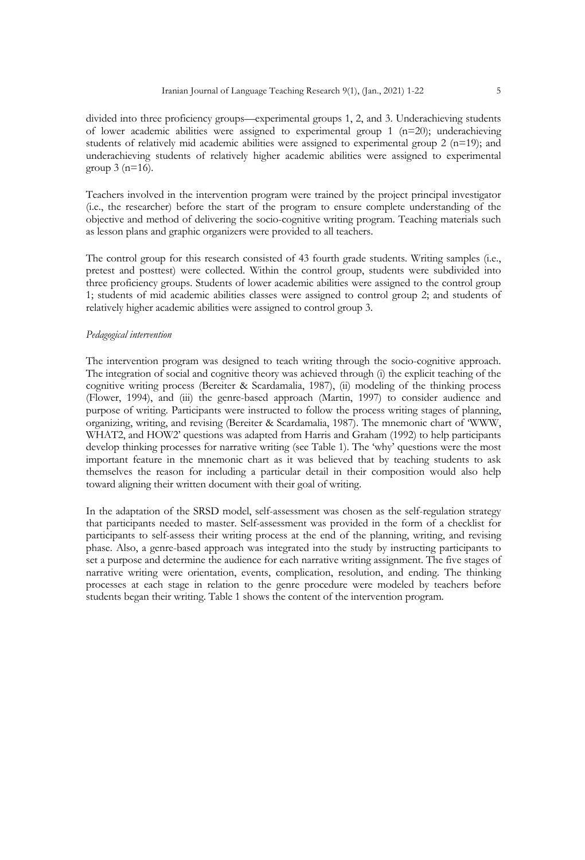divided into three proficiency groups—experimental groups 1, 2, and 3. Underachieving students of lower academic abilities were assigned to experimental group 1 ( $n=20$ ); underachieving students of relatively mid academic abilities were assigned to experimental group 2 (n=19); and underachieving students of relatively higher academic abilities were assigned to experimental group  $3$  (n=16).

Teachers involved in the intervention program were trained by the project principal investigator (i.e., the researcher) before the start of the program to ensure complete understanding of the objective and method of delivering the socio-cognitive writing program. Teaching materials such as lesson plans and graphic organizers were provided to all teachers.

The control group for this research consisted of 43 fourth grade students. Writing samples (i.e., pretest and posttest) were collected. Within the control group, students were subdivided into three proficiency groups. Students of lower academic abilities were assigned to the control group 1; students of mid academic abilities classes were assigned to control group 2; and students of relatively higher academic abilities were assigned to control group 3.

#### *Pedagogical intervention*

The intervention program was designed to teach writing through the socio-cognitive approach. The integration of social and cognitive theory was achieved through (i) the explicit teaching of the cognitive writing process (Bereiter & Scardamalia, 1987), (ii) modeling of the thinking process (Flower, 1994), and (iii) the genre-based approach (Martin, 1997) to consider audience and purpose of writing. Participants were instructed to follow the process writing stages of planning, organizing, writing, and revising (Bereiter & Scardamalia, 1987). The mnemonic chart of 'WWW, WHAT2, and HOW2' questions was adapted from Harris and Graham (1992) to help participants develop thinking processes for narrative writing (see Table 1). The 'why' questions were the most important feature in the mnemonic chart as it was believed that by teaching students to ask themselves the reason for including a particular detail in their composition would also help toward aligning their written document with their goal of writing.

In the adaptation of the SRSD model, self-assessment was chosen as the self-regulation strategy that participants needed to master. Self-assessment was provided in the form of a checklist for participants to self-assess their writing process at the end of the planning, writing, and revising phase. Also, a genre-based approach was integrated into the study by instructing participants to set a purpose and determine the audience for each narrative writing assignment. The five stages of narrative writing were orientation, events, complication, resolution, and ending. The thinking processes at each stage in relation to the genre procedure were modeled by teachers before students began their writing. Table 1 shows the content of the intervention program.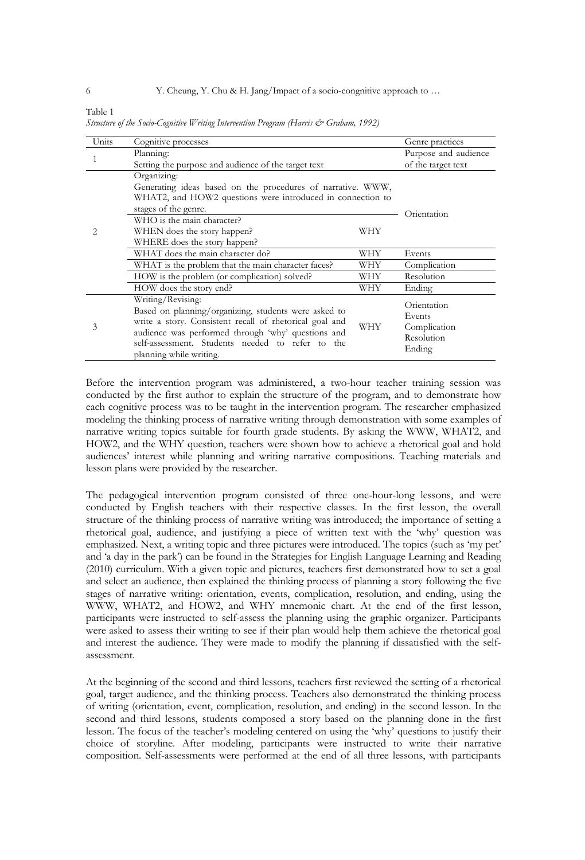| Units | Cognitive processes                                         |                      | Genre practices    |
|-------|-------------------------------------------------------------|----------------------|--------------------|
| 1     | Planning:                                                   | Purpose and audience |                    |
|       | Setting the purpose and audience of the target text         |                      | of the target text |
|       | Organizing:                                                 |                      |                    |
|       | Generating ideas based on the procedures of narrative. WWW, |                      |                    |
|       | WHAT2, and HOW2 questions were introduced in connection to  |                      |                    |
| 2     | stages of the genre.                                        | Orientation          |                    |
|       | WHO is the main character?                                  |                      |                    |
|       | WHEN does the story happen?                                 |                      |                    |
|       | WHERE does the story happen?                                |                      |                    |
|       | WHAT does the main character do?                            | WHY                  | Events             |
|       | WHAT is the problem that the main character faces?          | WHY                  | Complication       |
|       | HOW is the problem (or complication) solved?                | WHY                  | Resolution         |
|       | HOW does the story end?                                     | WHY                  | Ending             |
|       | Writing/Revising:                                           |                      | Orientation        |
|       | Based on planning/organizing, students were asked to        |                      | Events             |
| 3     | write a story. Consistent recall of rhetorical goal and     | WHY                  | Complication       |
|       | audience was performed through 'why' questions and          | Resolution           |                    |
|       | self-assessment. Students needed to refer to the            |                      |                    |
|       | planning while writing.                                     |                      | Ending             |

| 1 adie 1                                                                              |  |  |
|---------------------------------------------------------------------------------------|--|--|
| Structure of the Socio-Cognitive Writing Intervention Program (Harris & Graham, 1992) |  |  |

Before the intervention program was administered, a two-hour teacher training session was conducted by the first author to explain the structure of the program, and to demonstrate how each cognitive process was to be taught in the intervention program. The researcher emphasized modeling the thinking process of narrative writing through demonstration with some examples of narrative writing topics suitable for fourth grade students. By asking the WWW, WHAT2, and HOW2, and the WHY question, teachers were shown how to achieve a rhetorical goal and hold audiences' interest while planning and writing narrative compositions. Teaching materials and lesson plans were provided by the researcher.

The pedagogical intervention program consisted of three one-hour-long lessons, and were conducted by English teachers with their respective classes. In the first lesson, the overall structure of the thinking process of narrative writing was introduced; the importance of setting a rhetorical goal, audience, and justifying a piece of written text with the 'why' question was emphasized. Next, a writing topic and three pictures were introduced. The topics (such as 'my pet' and 'a day in the park') can be found in the Strategies for English Language Learning and Reading (2010) curriculum. With a given topic and pictures, teachers first demonstrated how to set a goal and select an audience, then explained the thinking process of planning a story following the five stages of narrative writing: orientation, events, complication, resolution, and ending, using the WWW, WHAT2, and HOW2, and WHY mnemonic chart. At the end of the first lesson, participants were instructed to self-assess the planning using the graphic organizer. Participants were asked to assess their writing to see if their plan would help them achieve the rhetorical goal and interest the audience. They were made to modify the planning if dissatisfied with the selfassessment.

At the beginning of the second and third lessons, teachers first reviewed the setting of a rhetorical goal, target audience, and the thinking process. Teachers also demonstrated the thinking process of writing (orientation, event, complication, resolution, and ending) in the second lesson. In the second and third lessons, students composed a story based on the planning done in the first lesson. The focus of the teacher's modeling centered on using the 'why' questions to justify their choice of storyline. After modeling, participants were instructed to write their narrative composition. Self-assessments were performed at the end of all three lessons, with participants

Table 1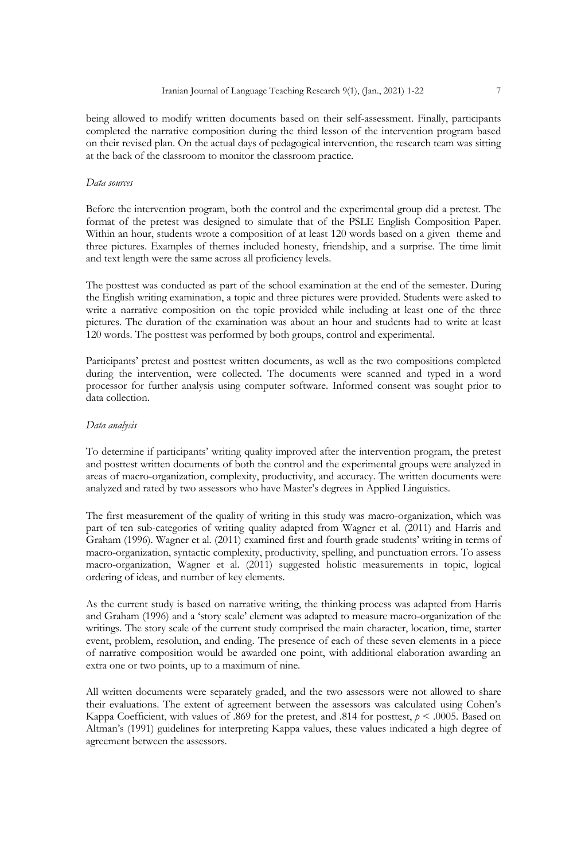being allowed to modify written documents based on their self-assessment. Finally, participants completed the narrative composition during the third lesson of the intervention program based on their revised plan. On the actual days of pedagogical intervention, the research team was sitting at the back of the classroom to monitor the classroom practice.

#### *Data sources*

Before the intervention program, both the control and the experimental group did a pretest. The format of the pretest was designed to simulate that of the PSLE English Composition Paper. Within an hour, students wrote a composition of at least 120 words based on a given theme and three pictures. Examples of themes included honesty, friendship, and a surprise. The time limit and text length were the same across all proficiency levels.

The posttest was conducted as part of the school examination at the end of the semester. During the English writing examination, a topic and three pictures were provided. Students were asked to write a narrative composition on the topic provided while including at least one of the three pictures. The duration of the examination was about an hour and students had to write at least 120 words. The posttest was performed by both groups, control and experimental.

Participants' pretest and posttest written documents, as well as the two compositions completed during the intervention, were collected. The documents were scanned and typed in a word processor for further analysis using computer software. Informed consent was sought prior to data collection.

#### *Data analysis*

To determine if participants' writing quality improved after the intervention program, the pretest and posttest written documents of both the control and the experimental groups were analyzed in areas of macro-organization, complexity, productivity, and accuracy. The written documents were analyzed and rated by two assessors who have Master's degrees in Applied Linguistics.

The first measurement of the quality of writing in this study was macro-organization, which was part of ten sub-categories of writing quality adapted from Wagner et al. (2011) and Harris and Graham (1996). Wagner et al. (2011) examined first and fourth grade students' writing in terms of macro-organization, syntactic complexity, productivity, spelling, and punctuation errors. To assess macro-organization, Wagner et al. (2011) suggested holistic measurements in topic, logical ordering of ideas, and number of key elements.

As the current study is based on narrative writing, the thinking process was adapted from Harris and Graham (1996) and a 'story scale' element was adapted to measure macro-organization of the writings. The story scale of the current study comprised the main character, location, time, starter event, problem, resolution, and ending. The presence of each of these seven elements in a piece of narrative composition would be awarded one point, with additional elaboration awarding an extra one or two points, up to a maximum of nine.

All written documents were separately graded, and the two assessors were not allowed to share their evaluations. The extent of agreement between the assessors was calculated using Cohen's Kappa Coefficient, with values of .869 for the pretest, and .814 for posttest, *p* < .0005. Based on Altman's (1991) guidelines for interpreting Kappa values, these values indicated a high degree of agreement between the assessors.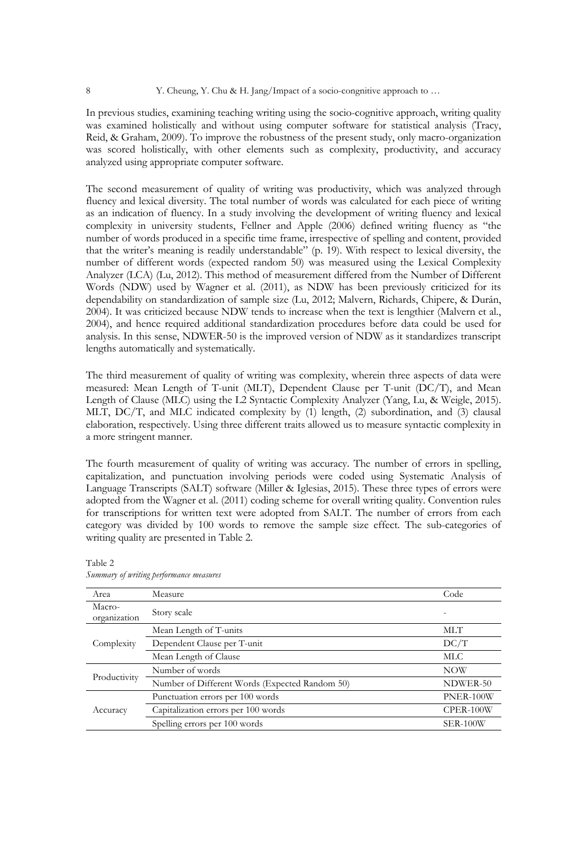In previous studies, examining teaching writing using the socio-cognitive approach, writing quality was examined holistically and without using computer software for statistical analysis (Tracy, Reid, & Graham, 2009). To improve the robustness of the present study, only macro-organization was scored holistically, with other elements such as complexity, productivity, and accuracy analyzed using appropriate computer software.

The second measurement of quality of writing was productivity, which was analyzed through fluency and lexical diversity. The total number of words was calculated for each piece of writing as an indication of fluency. In a study involving the development of writing fluency and lexical complexity in university students, Fellner and Apple (2006) defined writing fluency as "the number of words produced in a specific time frame, irrespective of spelling and content, provided that the writer's meaning is readily understandable" (p. 19). With respect to lexical diversity, the number of different words (expected random 50) was measured using the Lexical Complexity Analyzer (LCA) (Lu, 2012). This method of measurement differed from the Number of Different Words (NDW) used by Wagner et al. (2011), as NDW has been previously criticized for its dependability on standardization of sample size (Lu, 2012; Malvern, Richards, Chipere, & Durán, 2004). It was criticized because NDW tends to increase when the text is lengthier (Malvern et al., 2004), and hence required additional standardization procedures before data could be used for analysis. In this sense, NDWER-50 is the improved version of NDW as it standardizes transcript lengths automatically and systematically.

The third measurement of quality of writing was complexity, wherein three aspects of data were measured: Mean Length of T-unit (MLT), Dependent Clause per T-unit (DC/T), and Mean Length of Clause (MLC) using the L2 Syntactic Complexity Analyzer (Yang, Lu, & Weigle, 2015). MLT, DC/T, and MLC indicated complexity by (1) length, (2) subordination, and (3) clausal elaboration, respectively. Using three different traits allowed us to measure syntactic complexity in a more stringent manner.

The fourth measurement of quality of writing was accuracy. The number of errors in spelling, capitalization, and punctuation involving periods were coded using Systematic Analysis of Language Transcripts (SALT) software (Miller & Iglesias, 2015). These three types of errors were adopted from the Wagner et al. (2011) coding scheme for overall writing quality. Convention rules for transcriptions for written text were adopted from SALT. The number of errors from each category was divided by 100 words to remove the sample size effect. The sub-categories of writing quality are presented in Table 2.

| Area                   | Measure                                        | Code        |
|------------------------|------------------------------------------------|-------------|
| Macro-<br>organization | Story scale                                    | -           |
|                        | Mean Length of T-units                         | МLТ         |
| Complexity             | Dependent Clause per T-unit                    | DC/T        |
|                        | Mean Length of Clause                          | MLC         |
| Productivity           | Number of words                                | <b>NOW</b>  |
|                        | Number of Different Words (Expected Random 50) | NDWER-50    |
|                        | Punctuation errors per 100 words               | PNER-100W   |
| Accuracy               | Capitalization errors per 100 words            | $CPER-100W$ |
|                        | Spelling errors per 100 words                  | $SER-100W$  |

*Summary of writing performance measures*

Table 2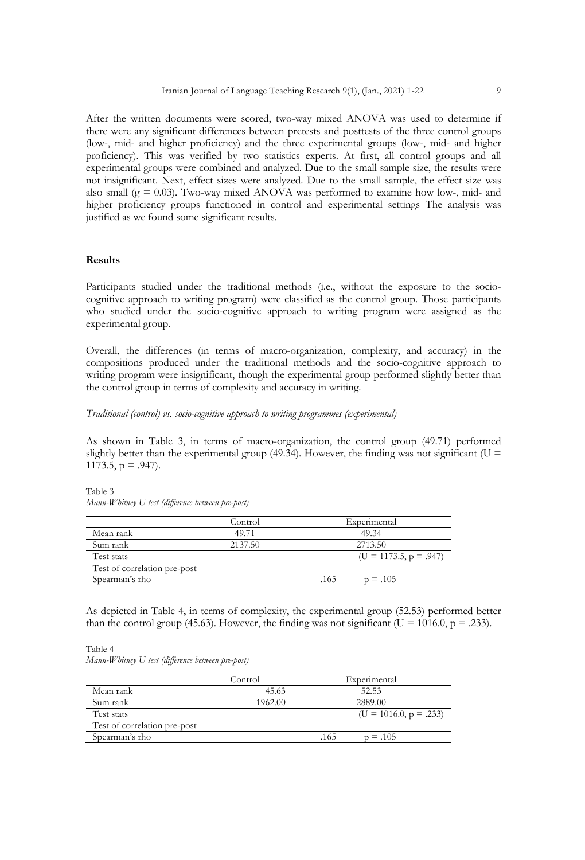After the written documents were scored, two-way mixed ANOVA was used to determine if there were any significant differences between pretests and posttests of the three control groups (low-, mid- and higher proficiency) and the three experimental groups (low-, mid- and higher proficiency). This was verified by two statistics experts. At first, all control groups and all experimental groups were combined and analyzed. Due to the small sample size, the results were not insignificant. Next, effect sizes were analyzed. Due to the small sample, the effect size was also small ( $g = 0.03$ ). Two-way mixed ANOVA was performed to examine how low-, mid- and higher proficiency groups functioned in control and experimental settings The analysis was justified as we found some significant results.

## **Results**

Participants studied under the traditional methods (i.e., without the exposure to the sociocognitive approach to writing program) were classified as the control group. Those participants who studied under the socio-cognitive approach to writing program were assigned as the experimental group.

Overall, the differences (in terms of macro-organization, complexity, and accuracy) in the compositions produced under the traditional methods and the socio-cognitive approach to writing program were insignificant, though the experimental group performed slightly better than the control group in terms of complexity and accuracy in writing.

### *Traditional (control) vs. socio-cognitive approach to writing programmes (experimental)*

As shown in Table 3, in terms of macro-organization, the control group (49.71) performed slightly better than the experimental group (49.34). However, the finding was not significant ( $U =$ 1173.5,  $p = .947$ ).

|                              | Control |         | Experimental             |  |  |
|------------------------------|---------|---------|--------------------------|--|--|
| Mean rank                    | 49 71   |         | 49.34                    |  |  |
| Sum rank                     | 2137.50 | 2713.50 |                          |  |  |
| Test stats                   |         |         | $(U = 1173.5, p = .947)$ |  |  |
| Test of correlation pre-post |         |         |                          |  |  |
| Spearman's rho               |         | -165    | $p = .105$               |  |  |

Table 3 *Mann-Whitney U test (difference between pre-post)*

As depicted in Table 4, in terms of complexity, the experimental group (52.53) performed better than the control group (45.63). However, the finding was not significant ( $U = 1016.0$ ,  $p = .233$ ).

### Table 4 *Mann-Whitney U test (difference between pre-post)*

|                              | Control |      | Experimental             |
|------------------------------|---------|------|--------------------------|
| Mean rank                    | 45.63   |      | 52.53                    |
| Sum rank                     | 1962.00 |      | 2889.00                  |
| Test stats                   |         |      | $(U = 1016.0, p = .233)$ |
| Test of correlation pre-post |         |      |                          |
| Spearman's rho               |         | .165 | $p = .105$               |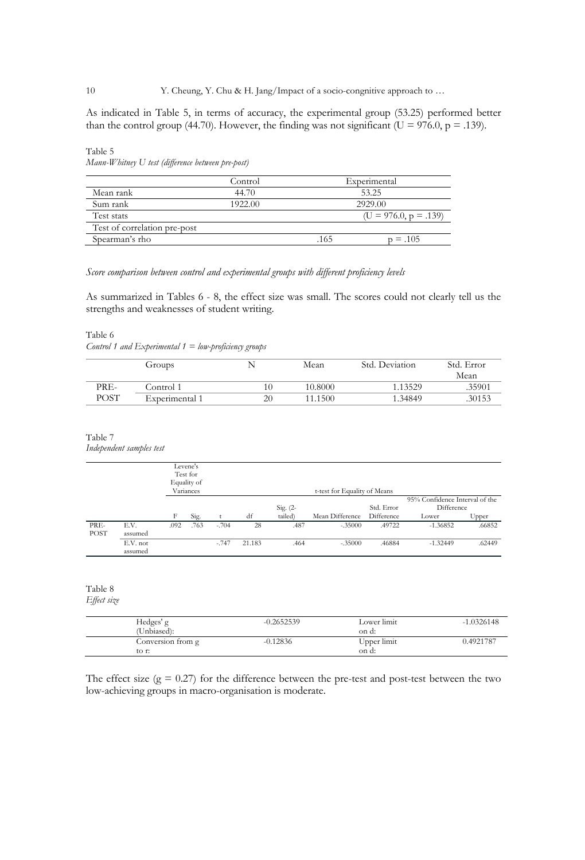As indicated in Table 5, in terms of accuracy, the experimental group (53.25) performed better than the control group (44.70). However, the finding was not significant ( $U = 976.0$ ,  $p = .139$ ).

Table 5 *Mann-Whitney U test (difference between pre-post)*

|                              | Control |         | Experimental            |  |
|------------------------------|---------|---------|-------------------------|--|
| Mean rank                    | 44.70   |         | 53.25                   |  |
| Sum rank                     | 1922.00 | 2929.00 |                         |  |
| Test stats                   |         |         | $(U = 976.0, p = .139)$ |  |
| Test of correlation pre-post |         |         |                         |  |
| Spearman's rho               |         | .165    | $=.105$                 |  |

*Score comparison between control and experimental groups with different proficiency levels*

As summarized in Tables 6 - 8, the effect size was small. The scores could not clearly tell us the strengths and weaknesses of student writing.

## Table 6

*Control 1 and Experimental 1 = low-proficiency groups* 

|             | Groups         |    | Mean    | Std. Deviation | Std. Error |
|-------------|----------------|----|---------|----------------|------------|
|             |                |    |         |                | Mean       |
| PRE-        | Control 1.     | 10 | 10.8000 | 1.13529        | .35901     |
| <b>POST</b> | Experimental 1 | 20 | 11.1500 | 1.34849        | 30153      |

#### Table 7 *Independent samples test*

|             |          | Levene's<br>Test for<br>Equality of<br>Variances |      |         |        |          |                 | t-test for Equality of Means |                                |        |  |
|-------------|----------|--------------------------------------------------|------|---------|--------|----------|-----------------|------------------------------|--------------------------------|--------|--|
|             |          |                                                  |      |         |        |          |                 |                              | 95% Confidence Interval of the |        |  |
|             |          |                                                  |      |         |        | Sig. (2- |                 | Std. Error                   | Difference                     |        |  |
|             |          | F                                                | Sig. |         | df     | tailed)  | Mean Difference | Difference                   | Lower                          | Upper  |  |
| PRE-        | E.V.     | .092                                             | .763 | $-.704$ | 28     | .487     | $-.35000$       | .49722                       | $-1.36852$                     | .66852 |  |
| <b>POST</b> | assumed  |                                                  |      |         |        |          |                 |                              |                                |        |  |
|             | E.V. not |                                                  |      | $-.747$ | 21.183 | .464     | $-.35000$       | .46884                       | $-1.32449$                     | .62449 |  |
|             | assumed  |                                                  |      |         |        |          |                 |                              |                                |        |  |

## Table 8

## *Effect size*

| Hedges' g<br>(Unbiased):   | $-0.2652539$ | Lower limit<br>on d: | $-1.0326148$ |
|----------------------------|--------------|----------------------|--------------|
| Conversion from g<br>to r: | $-0.12836$   | Upper limit<br>on d: | 0.4921787    |

The effect size  $(g = 0.27)$  for the difference between the pre-test and post-test between the two low-achieving groups in macro-organisation is moderate.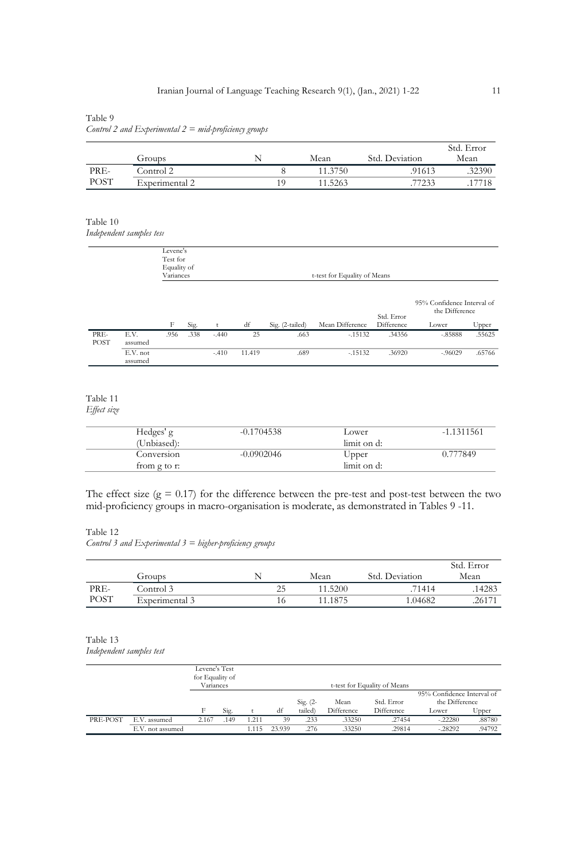## Table 9

| Control 2 and Experimental $2 = mid\text{-}proficiency\, groups$ |  |
|------------------------------------------------------------------|--|
|------------------------------------------------------------------|--|

|      | Groups         | Mean    | Std. Deviation | Std. Error<br>Mean |
|------|----------------|---------|----------------|--------------------|
| PRE- | Control 2      | 11.3750 | .91613         | .32390             |
| POST | Experimental 2 | 11.5263 | 77233          | 17718              |

# Table 10

*Independent samples test*

|                     |                     | Levene's<br>Test for<br>Equality of<br>Variances |      |         |        | t-test for Equality of Means |                 |                          |                                                                |        |  |
|---------------------|---------------------|--------------------------------------------------|------|---------|--------|------------------------------|-----------------|--------------------------|----------------------------------------------------------------|--------|--|
|                     |                     | F                                                | Sig. |         | df     | Sig. (2-tailed)              | Mean Difference | Std. Error<br>Difference | 95% Confidence Interval of<br>the Difference<br>Upper<br>Lower |        |  |
| PRE-<br><b>POST</b> | E.V.<br>assumed     | .956                                             | .338 | $-.440$ | 25     | .663                         | $-.15132$       | .34356                   | $-.85888$                                                      | .55625 |  |
|                     | E.V. not<br>assumed |                                                  |      | $-.410$ | 11.419 | .689                         | $-.15132$       | .36920                   | $-0.96029$                                                     | .65766 |  |

#### Table 11 *Effect size*

| Hedges' g    | $-0.1704538$ | Lower       | $-1.1311561$ |
|--------------|--------------|-------------|--------------|
| (Unbiased):  |              | limit on d: |              |
| Conversion   | $-0.0902046$ | Upper       | 0.777849     |
| from g to r: |              | limit on d: |              |

The effect size  $(g = 0.17)$  for the difference between the pre-test and post-test between the two mid-proficiency groups in macro-organisation is moderate, as demonstrated in Tables 9 -11.

## Table 12

*Control 3 and Experimental 3 = higher-proficiency groups*

|      |                |      |         |                | Std. Error |
|------|----------------|------|---------|----------------|------------|
|      | Groups         |      | Mean    | Std. Deviation | Mean       |
| PRE- | Control 3      |      | 11.5200 | 71414          | 14283      |
| POST | Experimental 3 | ' () | 11.1875 | 1.04682        | .26171     |

#### Table 13 *Independent samples test*

|          |                  | Levene's Test<br>for Equality of<br>Variances |      |       |        | t-test for Equality of Means |            |            |                                              |        |
|----------|------------------|-----------------------------------------------|------|-------|--------|------------------------------|------------|------------|----------------------------------------------|--------|
|          |                  |                                               |      |       |        | $Sig. (2-$                   | Mean       | Std. Error | 95% Confidence Interval of<br>the Difference |        |
|          |                  | Е                                             | Sig. |       | df     | tailed                       | Difference | Difference | Lower                                        | Upper  |
| PRE-POST | E.V. assumed     | 2.167                                         | 149  | 1.211 | 39     | .233                         | .33250     | .27454     | $-.22280$                                    | .88780 |
|          | E.V. not assumed |                                               |      | 1.115 | 23.939 | .276                         | 33250      | .29814     | $-.28292$                                    | .94792 |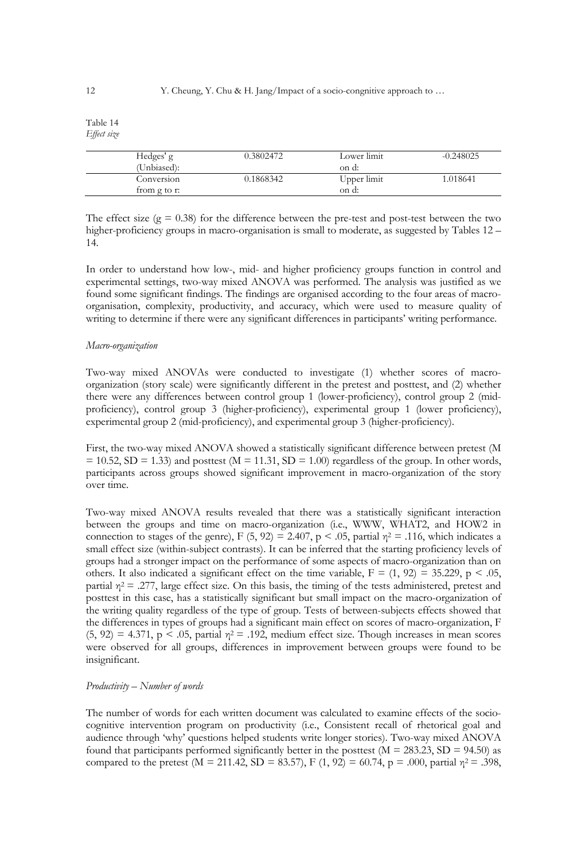## Table 14 *Effect size*

| Hedges' g    | 0.3802472 | Lower limit | $-0.248025$ |
|--------------|-----------|-------------|-------------|
| (Unbiased):  |           | on d:       |             |
| Conversion   | 0.1868342 | Upper limit | 1.018641    |
| from g to r: |           | on d:       |             |

The effect size ( $g = 0.38$ ) for the difference between the pre-test and post-test between the two higher-proficiency groups in macro-organisation is small to moderate, as suggested by Tables 12 – 14.

In order to understand how low-, mid- and higher proficiency groups function in control and experimental settings, two-way mixed ANOVA was performed. The analysis was justified as we found some significant findings. The findings are organised according to the four areas of macroorganisation, complexity, productivity, and accuracy, which were used to measure quality of writing to determine if there were any significant differences in participants' writing performance.

## *Macro-organization*

Two-way mixed ANOVAs were conducted to investigate (1) whether scores of macroorganization (story scale) were significantly different in the pretest and posttest, and (2) whether there were any differences between control group 1 (lower-proficiency), control group 2 (midproficiency), control group 3 (higher-proficiency), experimental group 1 (lower proficiency), experimental group 2 (mid-proficiency), and experimental group 3 (higher-proficiency).

First, the two-way mixed ANOVA showed a statistically significant difference between pretest (M  $= 10.52$ , SD = 1.33) and posttest (M = 11.31, SD = 1.00) regardless of the group. In other words, participants across groups showed significant improvement in macro-organization of the story over time.

Two-way mixed ANOVA results revealed that there was a statistically significant interaction between the groups and time on macro-organization (i.e., WWW, WHAT2, and HOW2 in connection to stages of the genre), F (5, 92) = 2.407, p < .05, partial  $\eta^2$  = .116, which indicates a small effect size (within-subject contrasts). It can be inferred that the starting proficiency levels of groups had a stronger impact on the performance of some aspects of macro-organization than on others. It also indicated a significant effect on the time variable,  $F = (1, 92) = 35.229$ ,  $p < .05$ , partial  $\eta^2 = 0.277$ , large effect size. On this basis, the timing of the tests administered, pretest and posttest in this case, has a statistically significant but small impact on the macro-organization of the writing quality regardless of the type of group. Tests of between-subjects effects showed that the differences in types of groups had a significant main effect on scores of macro-organization, F  $(5, 92) = 4.371$ ,  $p < .05$ , partial  $\eta^2 = .192$ , medium effect size. Though increases in mean scores were observed for all groups, differences in improvement between groups were found to be insignificant.

## *Productivity – Number of words*

The number of words for each written document was calculated to examine effects of the sociocognitive intervention program on productivity (i.e., Consistent recall of rhetorical goal and audience through 'why' questions helped students write longer stories). Two-way mixed ANOVA found that participants performed significantly better in the posttest ( $M = 283.23$ , SD = 94.50) as compared to the pretest (M = 211.42, SD = 83.57), F (1, 92) = 60.74, p = .000, partial  $\eta^2$  = .398,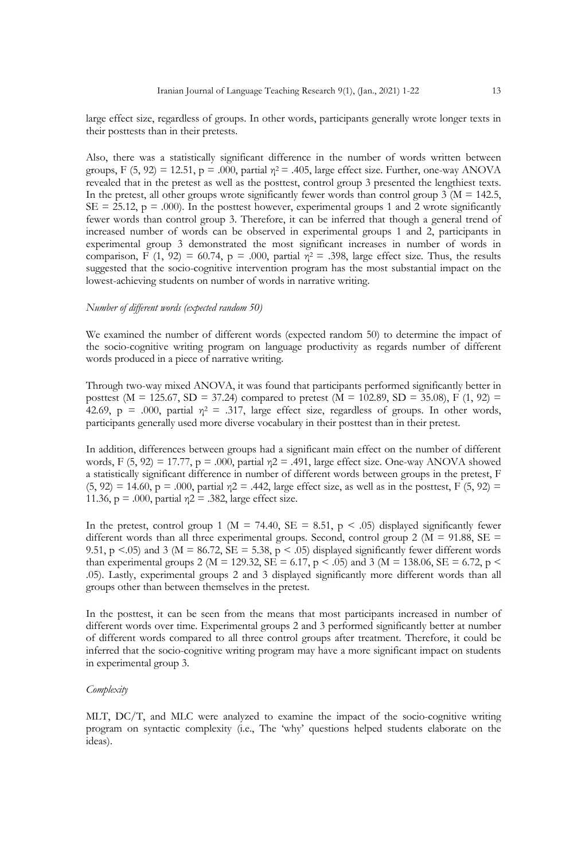large effect size, regardless of groups. In other words, participants generally wrote longer texts in their posttests than in their pretests.

Also, there was a statistically significant difference in the number of words written between groups, F (5, 92) = 12.51, p = .000, partial  $\eta^2$  = .405, large effect size. Further, one-way ANOVA revealed that in the pretest as well as the posttest, control group 3 presented the lengthiest texts. In the pretest, all other groups wrote significantly fewer words than control group 3 ( $M = 142.5$ ,  $SE = 25.12$ ,  $p = .000$ . In the posttest however, experimental groups 1 and 2 wrote significantly fewer words than control group 3. Therefore, it can be inferred that though a general trend of increased number of words can be observed in experimental groups 1 and 2, participants in experimental group 3 demonstrated the most significant increases in number of words in comparison, F (1, 92) = 60.74, p = .000, partial  $\eta^2$  = .398, large effect size. Thus, the results suggested that the socio-cognitive intervention program has the most substantial impact on the lowest-achieving students on number of words in narrative writing.

#### *Number of different words (expected random 50)*

We examined the number of different words (expected random 50) to determine the impact of the socio-cognitive writing program on language productivity as regards number of different words produced in a piece of narrative writing.

Through two-way mixed ANOVA, it was found that participants performed significantly better in posttest (M = 125.67, SD = 37.24) compared to pretest (M = 102.89, SD = 35.08), F (1, 92) = 42.69, p = .000, partial  $\eta^2$  = .317, large effect size, regardless of groups. In other words, participants generally used more diverse vocabulary in their posttest than in their pretest.

In addition, differences between groups had a significant main effect on the number of different words, F  $(5, 92) = 17.77$ , p = .000, partial  $\eta$ 2 = .491, large effect size. One-way ANOVA showed a statistically significant difference in number of different words between groups in the pretest, F  $(5, 92) = 14.60$ ,  $p = .000$ , partial  $n2 = .442$ , large effect size, as well as in the posttest, F (5, 92) = 11.36,  $p = .000$ , partial  $n2 = .382$ , large effect size.

In the pretest, control group 1 ( $M = 74.40$ ,  $SE = 8.51$ ,  $p < .05$ ) displayed significantly fewer different words than all three experimental groups. Second, control group 2 ( $M = 91.88$ ,  $SE =$ 9.51, p <.05) and 3 (M = 86.72,  $SE = 5.38$ , p < .05) displayed significantly fewer different words than experimental groups 2 (M = 129.32, SE = 6.17, p < .05) and 3 (M = 138.06, SE = 6.72, p < .05). Lastly, experimental groups 2 and 3 displayed significantly more different words than all groups other than between themselves in the pretest.

In the posttest, it can be seen from the means that most participants increased in number of different words over time. Experimental groups 2 and 3 performed significantly better at number of different words compared to all three control groups after treatment. Therefore, it could be inferred that the socio-cognitive writing program may have a more significant impact on students in experimental group 3.

#### *Complexity*

MLT, DC/T, and MLC were analyzed to examine the impact of the socio-cognitive writing program on syntactic complexity (i.e., The 'why' questions helped students elaborate on the ideas).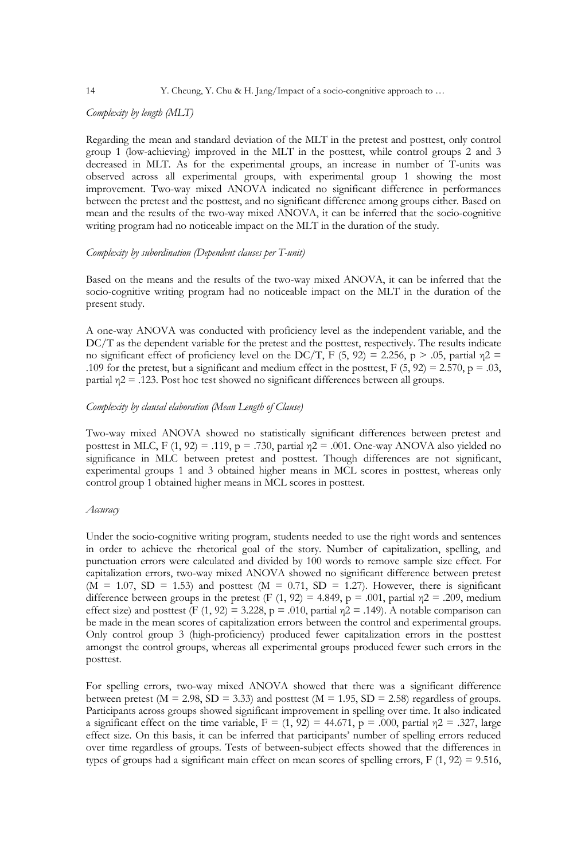#### 14 Y. Cheung, Y. Chu & H. Jang/Impact of a socio-congnitive approach to ...

#### *Complexity by length (MLT)*

Regarding the mean and standard deviation of the MLT in the pretest and posttest, only control group 1 (low-achieving) improved in the MLT in the posttest, while control groups 2 and 3 decreased in MLT. As for the experimental groups, an increase in number of T-units was observed across all experimental groups, with experimental group 1 showing the most improvement. Two-way mixed ANOVA indicated no significant difference in performances between the pretest and the posttest, and no significant difference among groups either. Based on mean and the results of the two-way mixed ANOVA, it can be inferred that the socio-cognitive writing program had no noticeable impact on the MLT in the duration of the study.

#### *Complexity by subordination (Dependent clauses per T-unit)*

Based on the means and the results of the two-way mixed ANOVA, it can be inferred that the socio-cognitive writing program had no noticeable impact on the MLT in the duration of the present study.

A one-way ANOVA was conducted with proficiency level as the independent variable, and the DC/T as the dependent variable for the pretest and the posttest, respectively. The results indicate no significant effect of proficiency level on the DC/T, F (5, 92) = 2.256, p > .05, partial η2 = .109 for the pretest, but a significant and medium effect in the posttest,  $F(5, 92) = 2.570$ ,  $p = .03$ , partial η2 = .123. Post hoc test showed no significant differences between all groups.

## *Complexity by clausal elaboration (Mean Length of Clause)*

Two-way mixed ANOVA showed no statistically significant differences between pretest and posttest in MLC, F (1, 92) = .119, p = .730, partial  $\eta$ 2 = .001. One-way ANOVA also yielded no significance in MLC between pretest and posttest. Though differences are not significant, experimental groups 1 and 3 obtained higher means in MCL scores in posttest, whereas only control group 1 obtained higher means in MCL scores in posttest.

## *Accuracy*

Under the socio-cognitive writing program, students needed to use the right words and sentences in order to achieve the rhetorical goal of the story. Number of capitalization, spelling, and punctuation errors were calculated and divided by 100 words to remove sample size effect. For capitalization errors, two-way mixed ANOVA showed no significant difference between pretest  $(M = 1.07, SD = 1.53)$  and posttest  $(M = 0.71, SD = 1.27)$ . However, there is significant difference between groups in the pretest (F  $(1, 92) = 4.849$ , p = .001, partial  $\eta$ 2 = .209, medium effect size) and posttest (F (1, 92) = 3.228, p = .010, partial  $\eta$ 2 = .149). A notable comparison can be made in the mean scores of capitalization errors between the control and experimental groups. Only control group 3 (high-proficiency) produced fewer capitalization errors in the posttest amongst the control groups, whereas all experimental groups produced fewer such errors in the posttest.

For spelling errors, two-way mixed ANOVA showed that there was a significant difference between pretest ( $M = 2.98$ ,  $SD = 3.33$ ) and posttest ( $M = 1.95$ ,  $SD = 2.58$ ) regardless of groups. Participants across groups showed significant improvement in spelling over time. It also indicated a significant effect on the time variable,  $F = (1, 92) = 44.671$ ,  $p = .000$ , partial  $\eta$ 2 = .327, large effect size. On this basis, it can be inferred that participants' number of spelling errors reduced over time regardless of groups. Tests of between-subject effects showed that the differences in types of groups had a significant main effect on mean scores of spelling errors,  $F(1, 92) = 9.516$ ,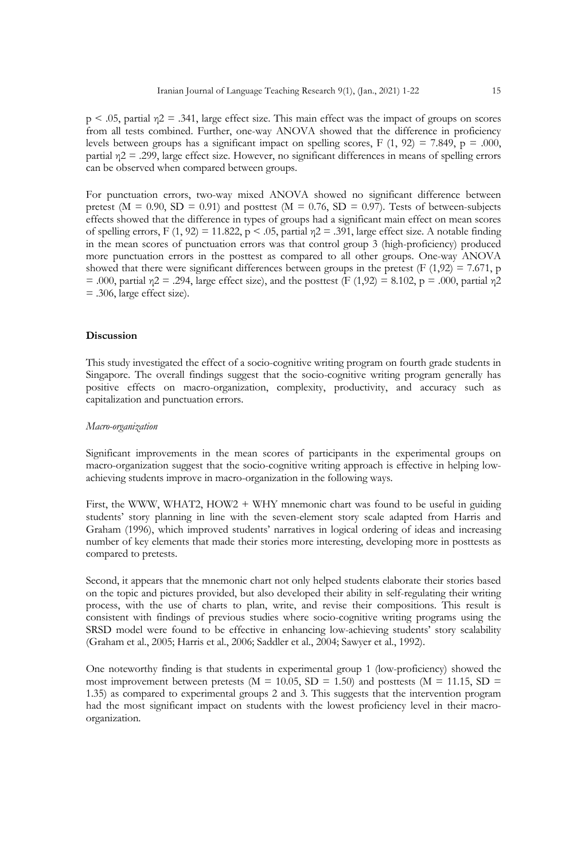$p < .05$ , partial  $\eta$ 2 = .341, large effect size. This main effect was the impact of groups on scores from all tests combined. Further, one-way ANOVA showed that the difference in proficiency levels between groups has a significant impact on spelling scores, F  $(1, 92) = 7.849$ , p = .000, partial η2 = .299, large effect size. However, no significant differences in means of spelling errors can be observed when compared between groups.

For punctuation errors, two-way mixed ANOVA showed no significant difference between pretest ( $M = 0.90$ ,  $SD = 0.91$ ) and posttest ( $M = 0.76$ ,  $SD = 0.97$ ). Tests of between-subjects effects showed that the difference in types of groups had a significant main effect on mean scores of spelling errors, F (1, 92) = 11.822, p < .05, partial  $\eta$ 2 = .391, large effect size. A notable finding in the mean scores of punctuation errors was that control group 3 (high-proficiency) produced more punctuation errors in the posttest as compared to all other groups. One-way ANOVA showed that there were significant differences between groups in the pretest (F  $(1,92) = 7.671$ , p  $= .000$ , partial  $\eta$ 2 = .294, large effect size), and the posttest (F (1,92) = 8.102, p = .000, partial  $\eta$ 2 = .306, large effect size).

#### **Discussion**

This study investigated the effect of a socio-cognitive writing program on fourth grade students in Singapore. The overall findings suggest that the socio-cognitive writing program generally has positive effects on macro-organization, complexity, productivity, and accuracy such as capitalization and punctuation errors.

#### *Macro-organization*

Significant improvements in the mean scores of participants in the experimental groups on macro-organization suggest that the socio-cognitive writing approach is effective in helping lowachieving students improve in macro-organization in the following ways.

First, the WWW, WHAT2, HOW2 + WHY mnemonic chart was found to be useful in guiding students' story planning in line with the seven-element story scale adapted from Harris and Graham (1996), which improved students' narratives in logical ordering of ideas and increasing number of key elements that made their stories more interesting, developing more in posttests as compared to pretests.

Second, it appears that the mnemonic chart not only helped students elaborate their stories based on the topic and pictures provided, but also developed their ability in self-regulating their writing process, with the use of charts to plan, write, and revise their compositions. This result is consistent with findings of previous studies where socio-cognitive writing programs using the SRSD model were found to be effective in enhancing low-achieving students' story scalability (Graham et al., 2005; Harris et al., 2006; Saddler et al., 2004; Sawyer et al., 1992).

One noteworthy finding is that students in experimental group 1 (low-proficiency) showed the most improvement between pretests ( $M = 10.05$ ,  $SD = 1.50$ ) and posttests ( $M = 11.15$ ,  $SD =$ 1.35) as compared to experimental groups 2 and 3. This suggests that the intervention program had the most significant impact on students with the lowest proficiency level in their macroorganization.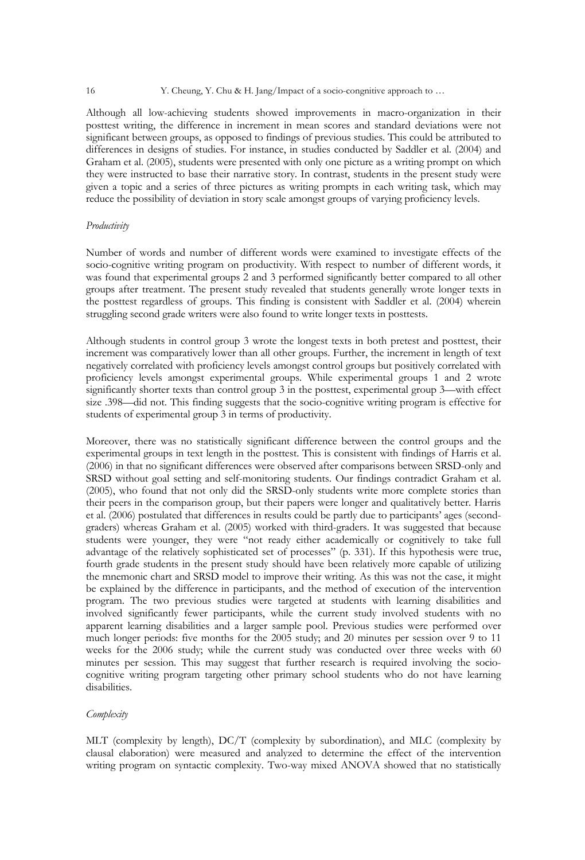#### 16 Y. Cheung, Y. Chu & H. Jang/Impact of a socio-congnitive approach to ...

Although all low-achieving students showed improvements in macro-organization in their posttest writing, the difference in increment in mean scores and standard deviations were not significant between groups, as opposed to findings of previous studies. This could be attributed to differences in designs of studies. For instance, in studies conducted by Saddler et al. (2004) and Graham et al. (2005), students were presented with only one picture as a writing prompt on which they were instructed to base their narrative story. In contrast, students in the present study were given a topic and a series of three pictures as writing prompts in each writing task, which may reduce the possibility of deviation in story scale amongst groups of varying proficiency levels.

#### *Productivity*

Number of words and number of different words were examined to investigate effects of the socio-cognitive writing program on productivity. With respect to number of different words, it was found that experimental groups 2 and 3 performed significantly better compared to all other groups after treatment. The present study revealed that students generally wrote longer texts in the posttest regardless of groups. This finding is consistent with Saddler et al. (2004) wherein struggling second grade writers were also found to write longer texts in posttests.

Although students in control group 3 wrote the longest texts in both pretest and posttest, their increment was comparatively lower than all other groups. Further, the increment in length of text negatively correlated with proficiency levels amongst control groups but positively correlated with proficiency levels amongst experimental groups. While experimental groups 1 and 2 wrote significantly shorter texts than control group 3 in the posttest, experimental group 3—with effect size .398—did not. This finding suggests that the socio-cognitive writing program is effective for students of experimental group 3 in terms of productivity.

Moreover, there was no statistically significant difference between the control groups and the experimental groups in text length in the posttest. This is consistent with findings of Harris et al. (2006) in that no significant differences were observed after comparisons between SRSD-only and SRSD without goal setting and self-monitoring students. Our findings contradict Graham et al. (2005), who found that not only did the SRSD-only students write more complete stories than their peers in the comparison group, but their papers were longer and qualitatively better. Harris et al. (2006) postulated that differences in results could be partly due to participants' ages (secondgraders) whereas Graham et al. (2005) worked with third-graders. It was suggested that because students were younger, they were "not ready either academically or cognitively to take full advantage of the relatively sophisticated set of processes" (p. 331). If this hypothesis were true, fourth grade students in the present study should have been relatively more capable of utilizing the mnemonic chart and SRSD model to improve their writing. As this was not the case, it might be explained by the difference in participants, and the method of execution of the intervention program. The two previous studies were targeted at students with learning disabilities and involved significantly fewer participants, while the current study involved students with no apparent learning disabilities and a larger sample pool. Previous studies were performed over much longer periods: five months for the 2005 study; and 20 minutes per session over 9 to 11 weeks for the 2006 study; while the current study was conducted over three weeks with 60 minutes per session. This may suggest that further research is required involving the sociocognitive writing program targeting other primary school students who do not have learning disabilities.

#### *Complexity*

MLT (complexity by length), DC/T (complexity by subordination), and MLC (complexity by clausal elaboration) were measured and analyzed to determine the effect of the intervention writing program on syntactic complexity. Two-way mixed ANOVA showed that no statistically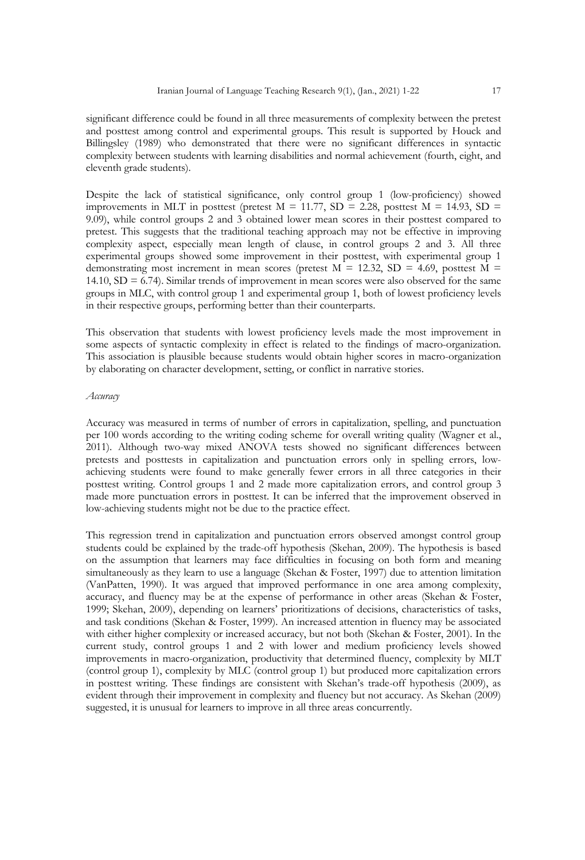significant difference could be found in all three measurements of complexity between the pretest and posttest among control and experimental groups. This result is supported by Houck and Billingsley (1989) who demonstrated that there were no significant differences in syntactic complexity between students with learning disabilities and normal achievement (fourth, eight, and eleventh grade students).

Despite the lack of statistical significance, only control group 1 (low-proficiency) showed improvements in MLT in posttest (pretest  $M = 11.77$ ,  $SD = 2.28$ , posttest  $M = 14.93$ ,  $SD =$ 9.09), while control groups 2 and 3 obtained lower mean scores in their posttest compared to pretest. This suggests that the traditional teaching approach may not be effective in improving complexity aspect, especially mean length of clause, in control groups 2 and 3. All three experimental groups showed some improvement in their posttest, with experimental group 1 demonstrating most increment in mean scores (pretest  $M = 12.32$ ,  $SD = 4.69$ , posttest  $M =$ 14.10, SD = 6.74). Similar trends of improvement in mean scores were also observed for the same groups in MLC, with control group 1 and experimental group 1, both of lowest proficiency levels in their respective groups, performing better than their counterparts.

This observation that students with lowest proficiency levels made the most improvement in some aspects of syntactic complexity in effect is related to the findings of macro-organization. This association is plausible because students would obtain higher scores in macro-organization by elaborating on character development, setting, or conflict in narrative stories.

## *Accuracy*

Accuracy was measured in terms of number of errors in capitalization, spelling, and punctuation per 100 words according to the writing coding scheme for overall writing quality (Wagner et al., 2011). Although two-way mixed ANOVA tests showed no significant differences between pretests and posttests in capitalization and punctuation errors only in spelling errors, lowachieving students were found to make generally fewer errors in all three categories in their posttest writing. Control groups 1 and 2 made more capitalization errors, and control group 3 made more punctuation errors in posttest. It can be inferred that the improvement observed in low-achieving students might not be due to the practice effect.

This regression trend in capitalization and punctuation errors observed amongst control group students could be explained by the trade-off hypothesis (Skehan, 2009). The hypothesis is based on the assumption that learners may face difficulties in focusing on both form and meaning simultaneously as they learn to use a language (Skehan & Foster, 1997) due to attention limitation (VanPatten, 1990). It was argued that improved performance in one area among complexity, accuracy, and fluency may be at the expense of performance in other areas (Skehan & Foster, 1999; Skehan, 2009), depending on learners' prioritizations of decisions, characteristics of tasks, and task conditions (Skehan & Foster, 1999). An increased attention in fluency may be associated with either higher complexity or increased accuracy, but not both (Skehan & Foster, 2001). In the current study, control groups 1 and 2 with lower and medium proficiency levels showed improvements in macro-organization, productivity that determined fluency, complexity by MLT (control group 1), complexity by MLC (control group 1) but produced more capitalization errors in posttest writing. These findings are consistent with Skehan's trade-off hypothesis (2009), as evident through their improvement in complexity and fluency but not accuracy. As Skehan (2009) suggested, it is unusual for learners to improve in all three areas concurrently.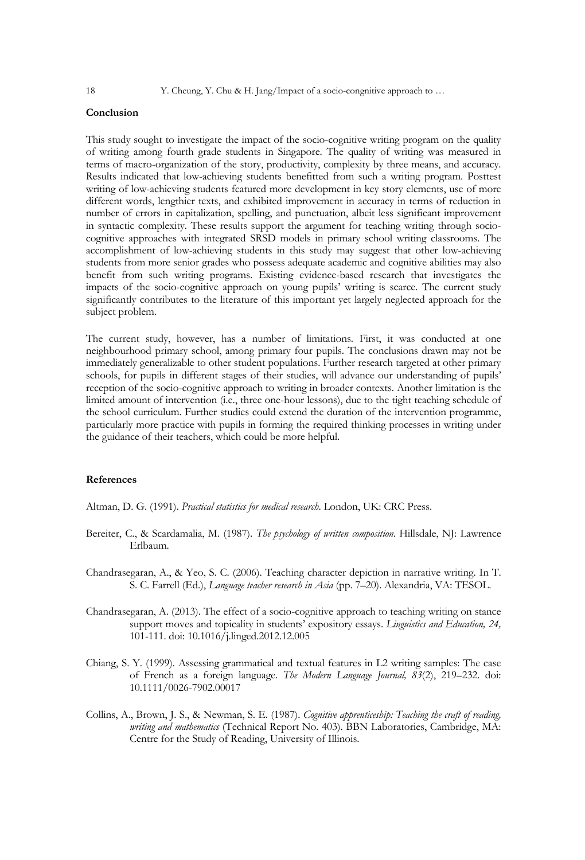## **Conclusion**

This study sought to investigate the impact of the socio-cognitive writing program on the quality of writing among fourth grade students in Singapore. The quality of writing was measured in terms of macro-organization of the story, productivity, complexity by three means, and accuracy. Results indicated that low-achieving students benefitted from such a writing program. Posttest writing of low-achieving students featured more development in key story elements, use of more different words, lengthier texts, and exhibited improvement in accuracy in terms of reduction in number of errors in capitalization, spelling, and punctuation, albeit less significant improvement in syntactic complexity. These results support the argument for teaching writing through sociocognitive approaches with integrated SRSD models in primary school writing classrooms. The accomplishment of low-achieving students in this study may suggest that other low-achieving students from more senior grades who possess adequate academic and cognitive abilities may also benefit from such writing programs. Existing evidence-based research that investigates the impacts of the socio-cognitive approach on young pupils' writing is scarce. The current study significantly contributes to the literature of this important yet largely neglected approach for the subject problem.

The current study, however, has a number of limitations. First, it was conducted at one neighbourhood primary school, among primary four pupils. The conclusions drawn may not be immediately generalizable to other student populations. Further research targeted at other primary schools, for pupils in different stages of their studies, will advance our understanding of pupils' reception of the socio-cognitive approach to writing in broader contexts. Another limitation is the limited amount of intervention (i.e., three one-hour lessons), due to the tight teaching schedule of the school curriculum. Further studies could extend the duration of the intervention programme, particularly more practice with pupils in forming the required thinking processes in writing under the guidance of their teachers, which could be more helpful.

## **References**

Altman, D. G. (1991). *Practical statistics for medical research*. London, UK: CRC Press.

- Bereiter, C., & Scardamalia, M. (1987). *The psychology of written composition.* Hillsdale, NJ: Lawrence Erlbaum.
- Chandrasegaran, A., & Yeo, S. C. (2006). Teaching character depiction in narrative writing. In T. S. C. Farrell (Ed.), *Language teacher research in Asia* (pp. 7–20). Alexandria, VA: TESOL.
- Chandrasegaran, A. (2013). The effect of a socio-cognitive approach to teaching writing on stance support moves and topicality in students' expository essays. *Linguistics and Education, 24,* 101-111. doi: 10.1016/j.linged.2012.12.005
- Chiang, S. Y. (1999). Assessing grammatical and textual features in L2 writing samples: The case of French as a foreign language. *The Modern Language Journal, 83*(2), 219–232. doi: 10.1111/0026-7902.00017
- Collins, A., Brown, J. S., & Newman, S. E. (1987). *Cognitive apprenticeship: Teaching the craft of reading, writing and mathematics* (Technical Report No. 403). BBN Laboratories, Cambridge, MA: Centre for the Study of Reading, University of Illinois.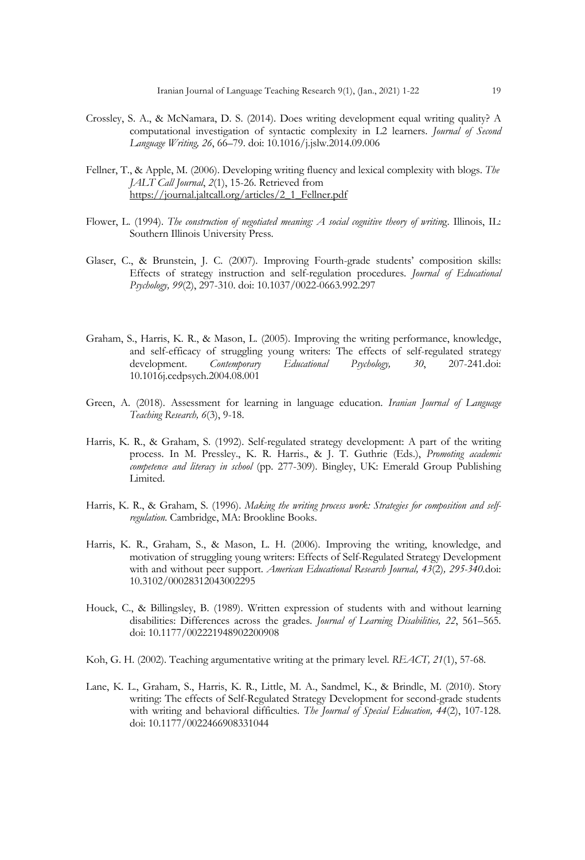- Crossley, S. A., & McNamara, D. S. (2014). Does writing development equal writing quality? A computational investigation of syntactic complexity in L2 learners. *Journal of Second Language Writing, 26*, 66–79. doi: 10.1016/j.jslw.2014.09.006
- Fellner, T., & Apple, M. (2006). Developing writing fluency and lexical complexity with blogs. *The JALT Call Journal*, *2*(1), 15-26. Retrieved from https://journal.jaltcall.org/articles/2\_1\_Fellner.pdf
- Flower, L. (1994). *The construction of negotiated meaning: A social cognitive theory of writing.* Illinois, IL: Southern Illinois University Press.
- Glaser, C., & Brunstein, J. C. (2007). Improving Fourth-grade students' composition skills: Effects of strategy instruction and self-regulation procedures. *Journal of Educational Psychology, 99*(2), 297-310. doi: 10.1037/0022-0663.992.297
- Graham, S., Harris, K. R., & Mason, L. (2005). Improving the writing performance, knowledge, and self-efficacy of struggling young writers: The effects of self-regulated strategy development. *Contemporary Educational Psychology, 30*, 207-241.doi: 10.1016j.cedpsych.2004.08.001
- Green, A. (2018). Assessment for learning in language education. *Iranian Journal of Language Teaching Research, 6*(3), 9-18.
- Harris, K. R., & Graham, S. (1992). Self-regulated strategy development: A part of the writing process. In M. Pressley., K. R. Harris., & J. T. Guthrie (Eds.), *Promoting academic competence and literacy in school* (pp. 277-309). Bingley, UK: Emerald Group Publishing Limited.
- Harris, K. R., & Graham, S. (1996). *Making the writing process work: Strategies for composition and selfregulation.* Cambridge, MA: Brookline Books.
- Harris, K. R., Graham, S., & Mason, L. H. (2006). Improving the writing, knowledge, and motivation of struggling young writers: Effects of Self-Regulated Strategy Development with and without peer support. *American Educational Research Journal, 43*(2)*, 295-340.*doi: 10.3102/00028312043002295
- Houck, C., & Billingsley, B. (1989). Written expression of students with and without learning disabilities: Differences across the grades. *Journal of Learning Disabilities, 22*, 561–565. doi: 10.1177/002221948902200908
- Koh, G. H. (2002). Teaching argumentative writing at the primary level. *REACT, 21*(1), 57-68.
- Lane, K. L., Graham, S., Harris, K. R., Little, M. A., Sandmel, K., & Brindle, M. (2010). Story writing: The effects of Self-Regulated Strategy Development for second-grade students with writing and behavioral difficulties. *The Journal of Special Education, 44*(2), 107-128. doi: 10.1177/0022466908331044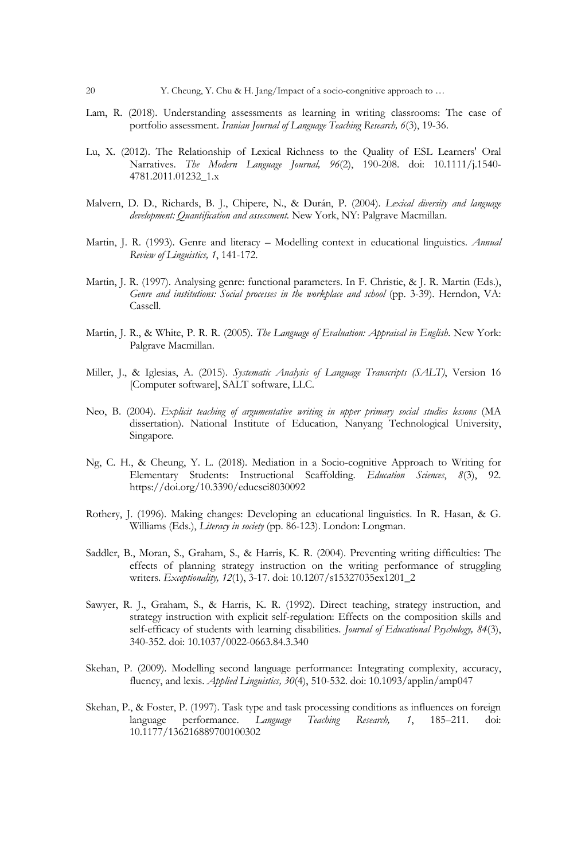- Lam, R. (2018). Understanding assessments as learning in writing classrooms: The case of portfolio assessment. *Iranian Journal of Language Teaching Research, 6*(3), 19-36.
- Lu, X. (2012). The Relationship of Lexical Richness to the Quality of ESL Learners' Oral Narratives. *The Modern Language Journal, 96*(2), 190-208. doi: 10.1111/j.1540- 4781.2011.01232\_1.x
- Malvern, D. D., Richards, B. J., Chipere, N., & Durán, P. (2004). *Lexical diversity and language development: Quantification and assessment.* New York, NY: Palgrave Macmillan.
- Martin, J. R. (1993). Genre and literacy Modelling context in educational linguistics. *Annual Review of Linguistics, 1*, 141-172.
- Martin, J. R. (1997). Analysing genre: functional parameters. In F. Christie, & J. R. Martin (Eds.), *Genre and institutions: Social processes in the workplace and school* (pp. 3-39). Herndon, VA: Cassell.
- Martin, J. R., & White, P. R. R. (2005). *The Language of Evaluation: Appraisal in English*. New York: Palgrave Macmillan.
- Miller, J., & Iglesias, A. (2015). *Systematic Analysis of Language Transcripts (SALT)*, Version 16 [Computer software], SALT software, LLC.
- Neo, B. (2004). *Explicit teaching of argumentative writing in upper primary social studies lessons* (MA dissertation). National Institute of Education, Nanyang Technological University, Singapore.
- Ng, C. H., & Cheung, Y. L. (2018). Mediation in a Socio-cognitive Approach to Writing for Elementary Students: Instructional Scaffolding. *Education Sciences*, *8*(3), 92. https://doi.org/10.3390/educsci8030092
- Rothery, J. (1996). Making changes: Developing an educational linguistics. In R. Hasan, & G. Williams (Eds.), *Literacy in society* (pp. 86-123). London: Longman.
- Saddler, B., Moran, S., Graham, S., & Harris, K. R. (2004). Preventing writing difficulties: The effects of planning strategy instruction on the writing performance of struggling writers. *Exceptionality, 12*(1), 3-17. doi: 10.1207/s15327035ex1201\_2
- Sawyer, R. J., Graham, S., & Harris, K. R. (1992). Direct teaching, strategy instruction, and strategy instruction with explicit self-regulation: Effects on the composition skills and self-efficacy of students with learning disabilities. *Journal of Educational Psychology, 84*(3), 340-352. doi: 10.1037/0022-0663.84.3.340
- Skehan, P. (2009). Modelling second language performance: Integrating complexity, accuracy, fluency, and lexis. *Applied Linguistics, 30*(4), 510-532. doi: 10.1093/applin/amp047
- Skehan, P., & Foster, P. (1997). Task type and task processing conditions as influences on foreign language performance. *Language Teaching Research, 1*, 185–211. doi: 10.1177/136216889700100302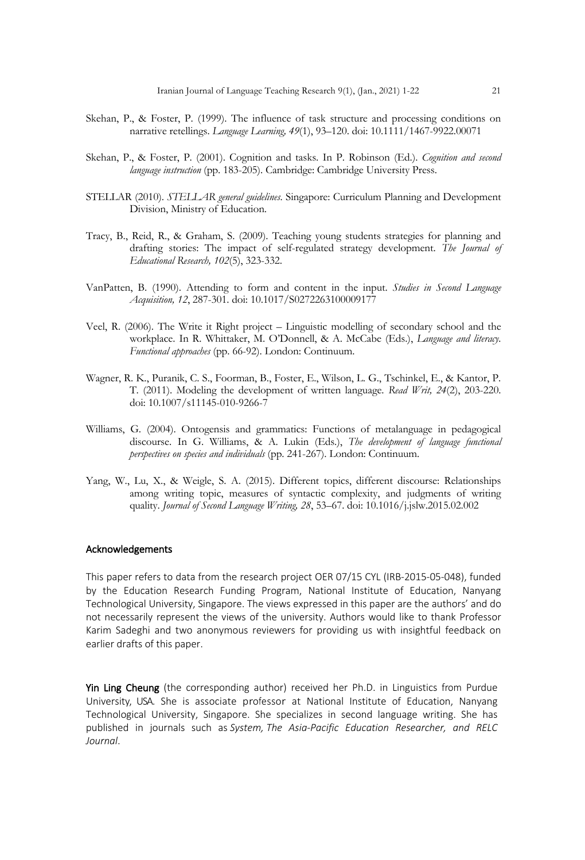- Skehan, P., & Foster, P. (1999). The influence of task structure and processing conditions on narrative retellings. *Language Learning, 49*(1), 93–120. doi: 10.1111/1467-9922.00071
- Skehan, P., & Foster, P. (2001). Cognition and tasks. In P. Robinson (Ed.). *Cognition and second language instruction* (pp. 183-205). Cambridge: Cambridge University Press.
- STELLAR (2010). *STELLAR general guidelines.* Singapore: Curriculum Planning and Development Division, Ministry of Education.
- Tracy, B., Reid, R., & Graham, S. (2009). Teaching young students strategies for planning and drafting stories: The impact of self-regulated strategy development. *The Journal of Educational Research, 102*(5), 323-332.
- VanPatten, B. (1990). Attending to form and content in the input. *Studies in Second Language Acquisition, 12*, 287-301. doi: 10.1017/S0272263100009177
- Veel, R. (2006). The Write it Right project Linguistic modelling of secondary school and the workplace. In R. Whittaker, M. O'Donnell, & A. McCabe (Eds.), *Language and literacy. Functional approaches* (pp. 66-92). London: Continuum.
- Wagner, R. K., Puranik, C. S., Foorman, B., Foster, E., Wilson, L. G., Tschinkel, E., & Kantor, P. T. (2011). Modeling the development of written language. *Read Writ, 24*(2), 203-220. doi: 10.1007/s11145-010-9266-7
- Williams, G. (2004). Ontogensis and grammatics: Functions of metalanguage in pedagogical discourse. In G. Williams, & A. Lukin (Eds.), *The development of language functional perspectives on species and individuals* (pp. 241-267). London: Continuum.
- Yang, W., Lu, X., & Weigle, S. A. (2015). Different topics, different discourse: Relationships among writing topic, measures of syntactic complexity, and judgments of writing quality. *Journal of Second Language Writing, 28*, 53–67. doi: 10.1016/j.jslw.2015.02.002

### Acknowledgements

This paper refers to data from the research project OER 07/15 CYL (IRB-2015-05-048), funded by the Education Research Funding Program, National Institute of Education, Nanyang Technological University, Singapore. The views expressed in this paper are the authors' and do not necessarily represent the views of the university. Authors would like to thank Professor Karim Sadeghi and two anonymous reviewers for providing us with insightful feedback on earlier drafts of this paper.

Yin Ling Cheung (the corresponding author) received her Ph.D. in Linguistics from Purdue University, USA. She is associate professor at National Institute of Education, Nanyang Technological University, Singapore. She specializes in second language writing. She has published in journals such as *System, The Asia-Pacific Education Researcher, and RELC Journal*.